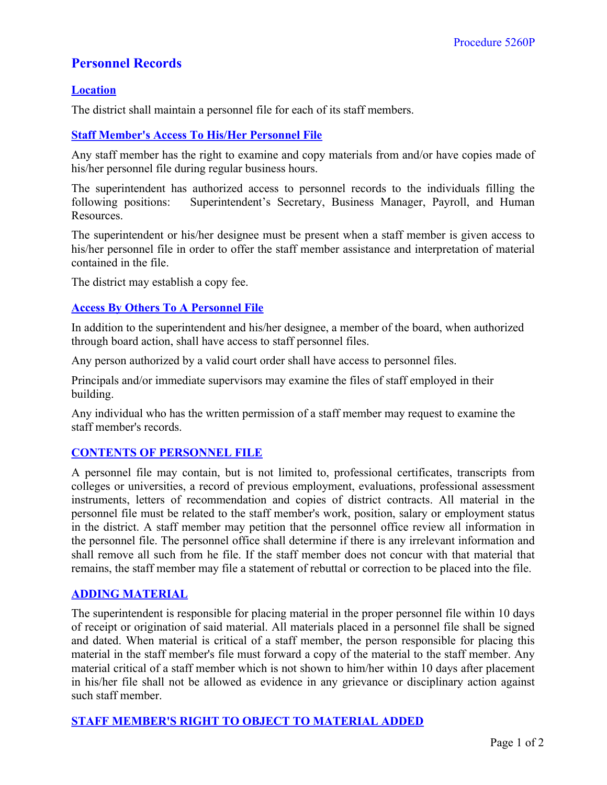# **Personnel Records**

## **Location**

The district shall maintain a personnel file for each of its staff members.

# **Staff Member's Access To His/Her Personnel File**

Any staff member has the right to examine and copy materials from and/or have copies made of his/her personnel file during regular business hours.

The superintendent has authorized access to personnel records to the individuals filling the following positions: Superintendent's Secretary, Business Manager, Payroll, and Human Resources.

The superintendent or his/her designee must be present when a staff member is given access to his/her personnel file in order to offer the staff member assistance and interpretation of material contained in the file.

The district may establish a copy fee.

## **Access By Others To A Personnel File**

In addition to the superintendent and his/her designee, a member of the board, when authorized through board action, shall have access to staff personnel files.

Any person authorized by a valid court order shall have access to personnel files.

Principals and/or immediate supervisors may examine the files of staff employed in their building.

Any individual who has the written permission of a staff member may request to examine the staff member's records.

## **CONTENTS OF PERSONNEL FILE**

A personnel file may contain, but is not limited to, professional certificates, transcripts from colleges or universities, a record of previous employment, evaluations, professional assessment instruments, letters of recommendation and copies of district contracts. All material in the personnel file must be related to the staff member's work, position, salary or employment status in the district. A staff member may petition that the personnel office review all information in the personnel file. The personnel office shall determine if there is any irrelevant information and shall remove all such from he file. If the staff member does not concur with that material that remains, the staff member may file a statement of rebuttal or correction to be placed into the file.

#### **ADDING MATERIAL**

The superintendent is responsible for placing material in the proper personnel file within 10 days of receipt or origination of said material. All materials placed in a personnel file shall be signed and dated. When material is critical of a staff member, the person responsible for placing this material in the staff member's file must forward a copy of the material to the staff member. Any material critical of a staff member which is not shown to him/her within 10 days after placement in his/her file shall not be allowed as evidence in any grievance or disciplinary action against such staff member.

#### **STAFF MEMBER'S RIGHT TO OBJECT TO MATERIAL ADDED**